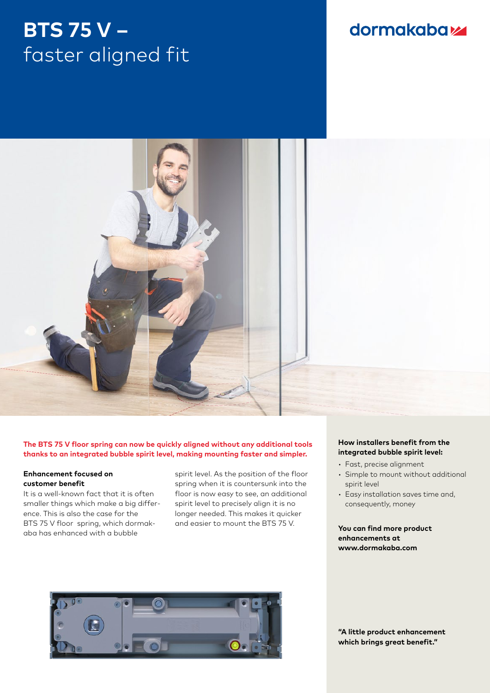## **BTS 75 V –** faster aligned fit

### dormakabaz



#### **The BTS 75 V floor spring can now be quickly aligned without any additional tools thanks to an integrated bubble spirit level, making mounting faster and simpler.**

#### **Enhancement focused on customer benefit**

It is a well-known fact that it is often smaller things which make a big difference. This is also the case for the BTS 75 V floor spring, which dormakaba has enhanced with a bubble

spirit level. As the position of the floor spring when it is countersunk into the floor is now easy to see, an additional spirit level to precisely align it is no longer needed. This makes it quicker and easier to mount the BTS 75 V.



#### **How installers benefit from the integrated bubble spirit level:**

- Fast, precise alignment
- Simple to mount without additional spirit level
- Easy installation saves time and, consequently, money

#### **You can find more product enhancements at www.dormakaba.com**

**"A little product enhancement which brings great benefit."**